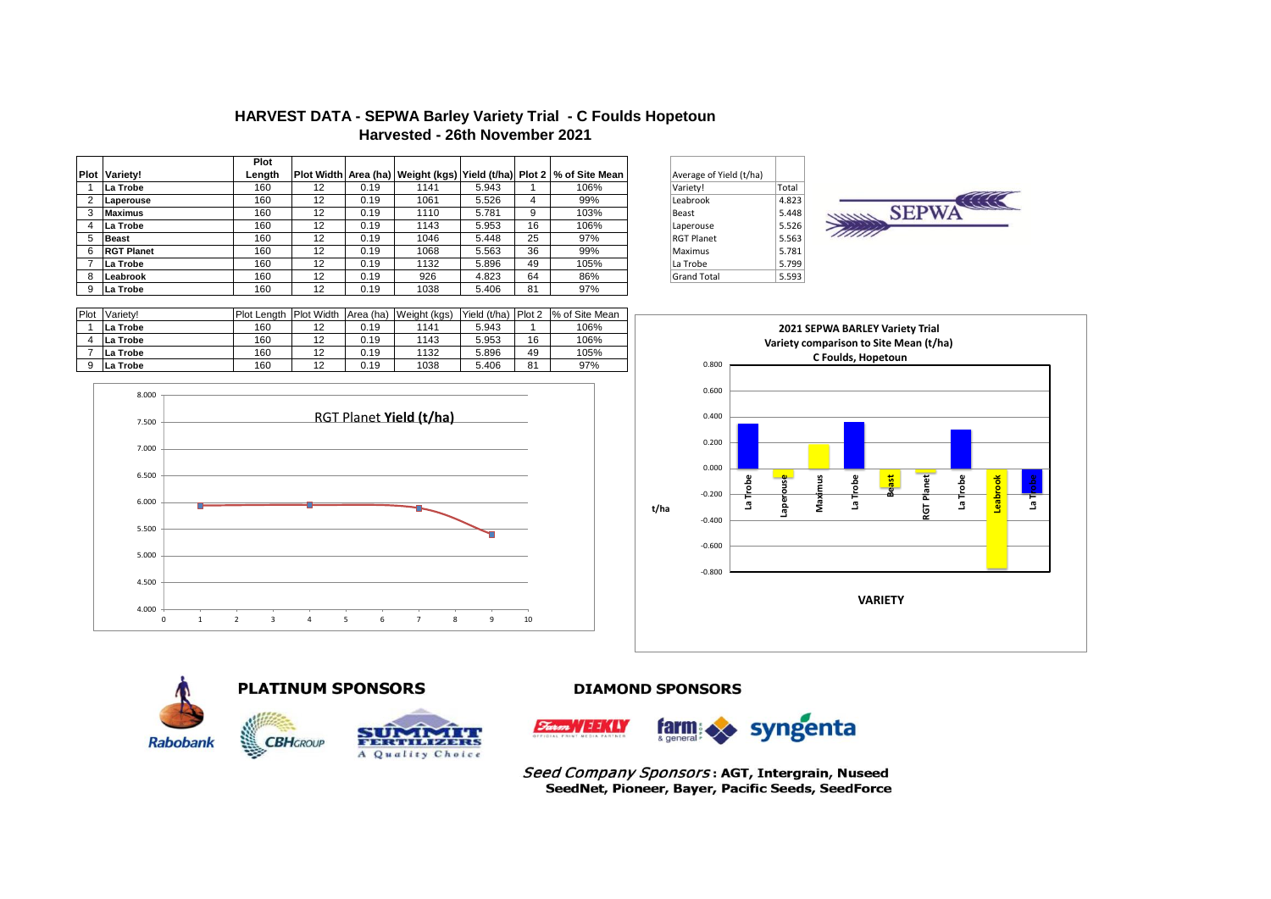# **HARVEST DATA - SEPWA Barley Variety Trial - C Foulds Hopetoun Harvested - 26th November 2021**

|             |                   | Plot   |    |      |      |       |    |                                                                        |                         |       |
|-------------|-------------------|--------|----|------|------|-------|----|------------------------------------------------------------------------|-------------------------|-------|
| <b>Plot</b> | Variety!          | Length |    |      |      |       |    | Plot Width Area (ha) Weight (kgs) Yield (t/ha) Plot 2   % of Site Mean | Average of Yield (t/ha) |       |
|             | La Trobe          | 160    | 12 | 0.19 | 1141 | 5.943 |    | 106%                                                                   | Variety!                | Total |
|             | Laperouse         | 160    | 12 | 0.19 | 1061 | 5.526 | 4  | 99%                                                                    | Leabrook                | 4.823 |
|             | <b>Maximus</b>    | 160    | 12 | 0.19 | 1110 | 5.781 | 9  | 103%                                                                   | Beast                   | 5.448 |
|             | La Trobe          | 160    | 12 | 0.19 | 1143 | 5.953 | 16 | 106%                                                                   | Laperouse               | 5.526 |
| 5           | <b>Beast</b>      | 160    | 12 | 0.19 | 1046 | 5.448 | 25 | 97%                                                                    | <b>RGT Planet</b>       | 5.563 |
| 6           | <b>RGT Planet</b> | 160    | 12 | 0.19 | 1068 | 5.563 | 36 | 99%                                                                    | Maximus                 | 5.781 |
|             | La Trobe          | 160    | 12 | 0.19 | 1132 | 5.896 | 49 | 105%                                                                   | La Trobe                | 5.799 |
| 8           | Leabrook          | 160    | 12 | 0.19 | 926  | 4.823 | 64 | 86%                                                                    | <b>Grand Total</b>      | 5.593 |
| 9           | La Trobe          | 160    | 12 | 0.19 | 1038 | 5.406 | 81 | 97%                                                                    |                         |       |

| Average of Yield (t/ha) |       |  |
|-------------------------|-------|--|
| Variety!                | Total |  |
| Leabrook                | 4.823 |  |
| Beast                   | 5.448 |  |
| Laperouse               | 5.526 |  |
| <b>RGT Planet</b>       | 5.563 |  |
| Maximus                 | 5.781 |  |
| La Trobe                | 5.799 |  |
| <b>Grand Total</b>      | 5.593 |  |



| Plot | Variety! | <b>Plot Lenath</b> | <b>Plot Width</b> |      | Area (ha) Weight (kgs) | Yield (t/ha) | Plot 2 | % of Site Mean |
|------|----------|--------------------|-------------------|------|------------------------|--------------|--------|----------------|
|      | La Trobe | 160                | 12                | 0.19 | 1141                   | 5.943        |        | 106%           |
|      | La Trobe | 160                |                   | 0.19 | 1143                   | 5.953        | 16     | 106%           |
|      | La Trobe | 160                | 12                | 0.19 | 1132                   | 5.896        | 49     | 105%           |
|      | La Trobe | 160                |                   | 0.19 | 1038                   | 5.406        | 81     | 97%            |
|      |          |                    |                   |      |                        |              |        |                |







**PLATINUM SPONSORS** 



**DIAMOND SPONSORS** 



Seed Company Sponsors: AGT, Intergrain, Nuseed SeedNet, Pioneer, Bayer, Pacific Seeds, SeedForce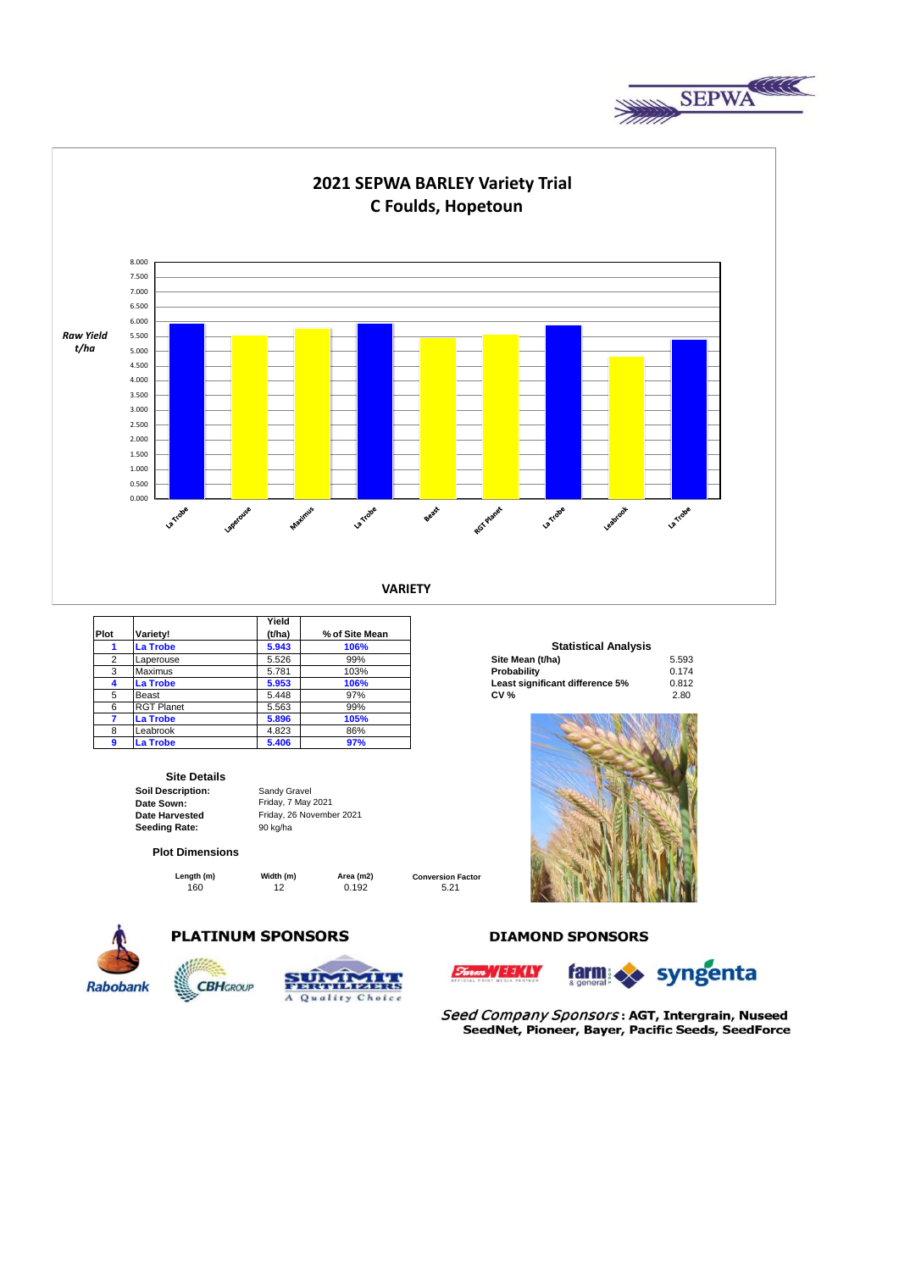



| Plot | Variety!          | Yield<br>(t/ha) | % of Site Mean |                                 |       |
|------|-------------------|-----------------|----------------|---------------------------------|-------|
|      | La Trobe          | 5.943           | 106%           | <b>Statistical Analysis</b>     |       |
| 2    | Laperouse         | 5.526           | 99%            | Site Mean (t/ha)                | 5.593 |
| 3    | <b>Maximus</b>    | 5.781           | 103%           | Probability                     | 0.174 |
|      | La Trobe          | 5.953           | 106%           | Least significant difference 5% | 0.812 |
| 5    | Beast             | 5.448           | 97%            | <b>CV %</b>                     | 2.80  |
| 6    | <b>RGT Planet</b> | 5.563           | 99%            |                                 |       |
|      | La Trobe          | 5.896           | 105%           |                                 |       |
| 8    | Leabrook          | 4.823           | 86%            |                                 |       |
| 9    | La Trobe          | 5.406           | 97%            |                                 |       |

#### **Site Details**

**Soil Description: Date Sown: Date Harvested**  Seeding Rate: 90 kg/ha

#### **Plot Dimensions**

**CBHGROUP** 

160 12 0.192 5.21 **Length (m) Width (m) Area (m2)** 

Friday, 7 May 2021 Friday, 26 November 2021

Sandy Gravel

**Conversion Factor**



# **PLATINUM SPONSORS**



### **DIAMOND SPONSORS**





Seed Company Sponsors: AGT, Intergrain, Nuseed SeedNet, Pioneer, Bayer, Pacific Seeds, SeedForce

### **Statistical Analysis**

| Site Mean (t/ha)                | 5.593 |
|---------------------------------|-------|
| Probability                     | 0.174 |
| Least significant difference 5% | 0.812 |
| <b>CV %</b>                     | 2.80  |